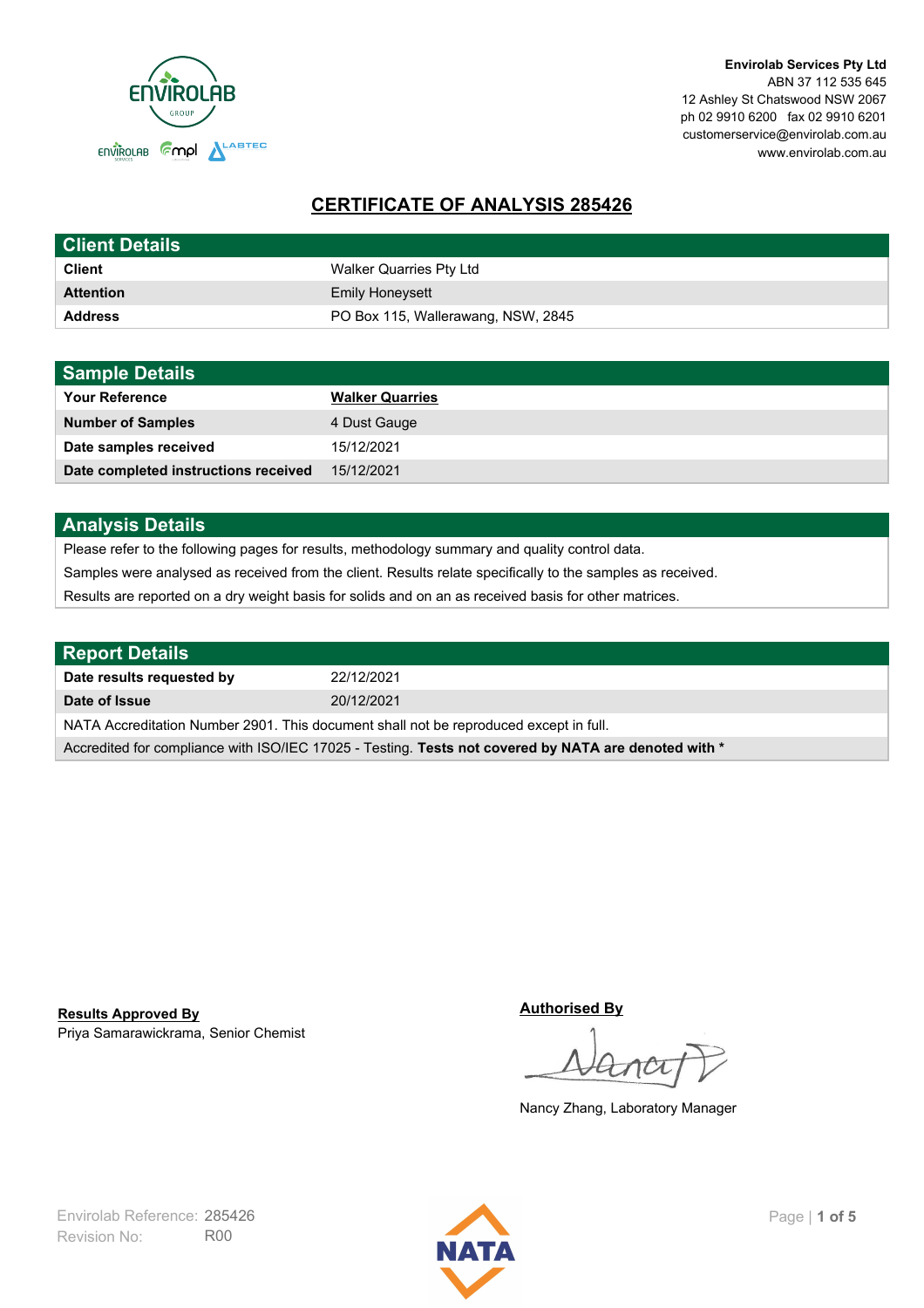

**Envirolab Services Pty Ltd** ABN 37 112 535 645 12 Ashley St Chatswood NSW 2067 ph 02 9910 6200 fax 02 9910 6201 customerservice@envirolab.com.au www.envirolab.com.au

# **CERTIFICATE OF ANALYSIS 285426**

| <b>Client Details</b> |                                    |
|-----------------------|------------------------------------|
| <b>Client</b>         | Walker Quarries Pty Ltd            |
| <b>Attention</b>      | <b>Emily Honeysett</b>             |
| <b>Address</b>        | PO Box 115, Wallerawang, NSW, 2845 |

| <b>Sample Details</b>                |                        |
|--------------------------------------|------------------------|
| <b>Your Reference</b>                | <b>Walker Quarries</b> |
| <b>Number of Samples</b>             | 4 Dust Gauge           |
| Date samples received                | 15/12/2021             |
| Date completed instructions received | 15/12/2021             |

## **Analysis Details**

Please refer to the following pages for results, methodology summary and quality control data.

Samples were analysed as received from the client. Results relate specifically to the samples as received.

Results are reported on a dry weight basis for solids and on an as received basis for other matrices.

| <b>Report Details</b>                                                                                |            |  |
|------------------------------------------------------------------------------------------------------|------------|--|
| Date results requested by                                                                            | 22/12/2021 |  |
| Date of Issue                                                                                        | 20/12/2021 |  |
| NATA Accreditation Number 2901. This document shall not be reproduced except in full.                |            |  |
| Accredited for compliance with ISO/IEC 17025 - Testing. Tests not covered by NATA are denoted with * |            |  |

Priya Samarawickrama, Senior Chemist **Results Approved By**

**Authorised By**

Nancy Zhang, Laboratory Manager

Revision No: R00 Envirolab Reference: 285426 Page | 1 of 5

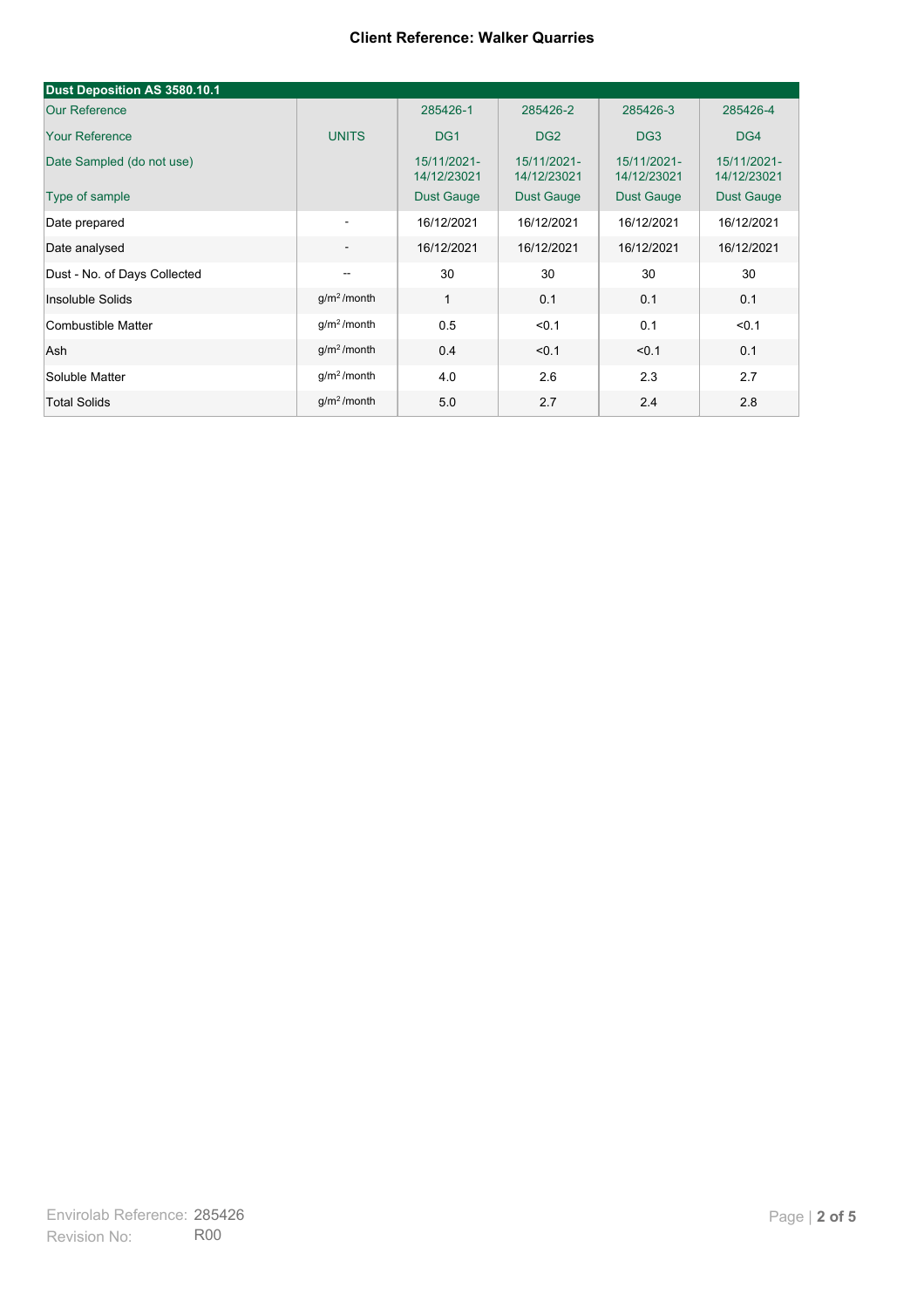| Dust Deposition AS 3580.10.1 |                          |                            |                            |                            |                            |
|------------------------------|--------------------------|----------------------------|----------------------------|----------------------------|----------------------------|
| <b>Our Reference</b>         |                          | 285426-1                   | 285426-2                   | 285426-3                   | 285426-4                   |
| <b>Your Reference</b>        | <b>UNITS</b>             | DG <sub>1</sub>            | DG <sub>2</sub>            | DG <sub>3</sub>            | DG4                        |
| Date Sampled (do not use)    |                          | 15/11/2021-<br>14/12/23021 | 15/11/2021-<br>14/12/23021 | 15/11/2021-<br>14/12/23021 | 15/11/2021-<br>14/12/23021 |
| Type of sample               |                          | <b>Dust Gauge</b>          | <b>Dust Gauge</b>          | <b>Dust Gauge</b>          | <b>Dust Gauge</b>          |
| Date prepared                | $\overline{\phantom{a}}$ | 16/12/2021                 | 16/12/2021                 | 16/12/2021                 | 16/12/2021                 |
| Date analysed                | $\overline{\phantom{a}}$ | 16/12/2021                 | 16/12/2021                 | 16/12/2021                 | 16/12/2021                 |
| Dust - No. of Days Collected | $\overline{\phantom{a}}$ | 30                         | 30                         | 30                         | 30                         |
| Insoluble Solids             | $g/m2$ /month            | 1                          | 0.1                        | 0.1                        | 0.1                        |
| Combustible Matter           | $g/m2$ /month            | 0.5                        | < 0.1                      | 0.1                        | < 0.1                      |
| Ash                          | g/m <sup>2</sup> /month  | 0.4                        | < 0.1                      | < 0.1                      | 0.1                        |
| Soluble Matter               | g/m <sup>2</sup> /month  | 4.0                        | 2.6                        | 2.3                        | 2.7                        |
| <b>Total Solids</b>          | $g/m2$ /month            | 5.0                        | 2.7                        | 2.4                        | 2.8                        |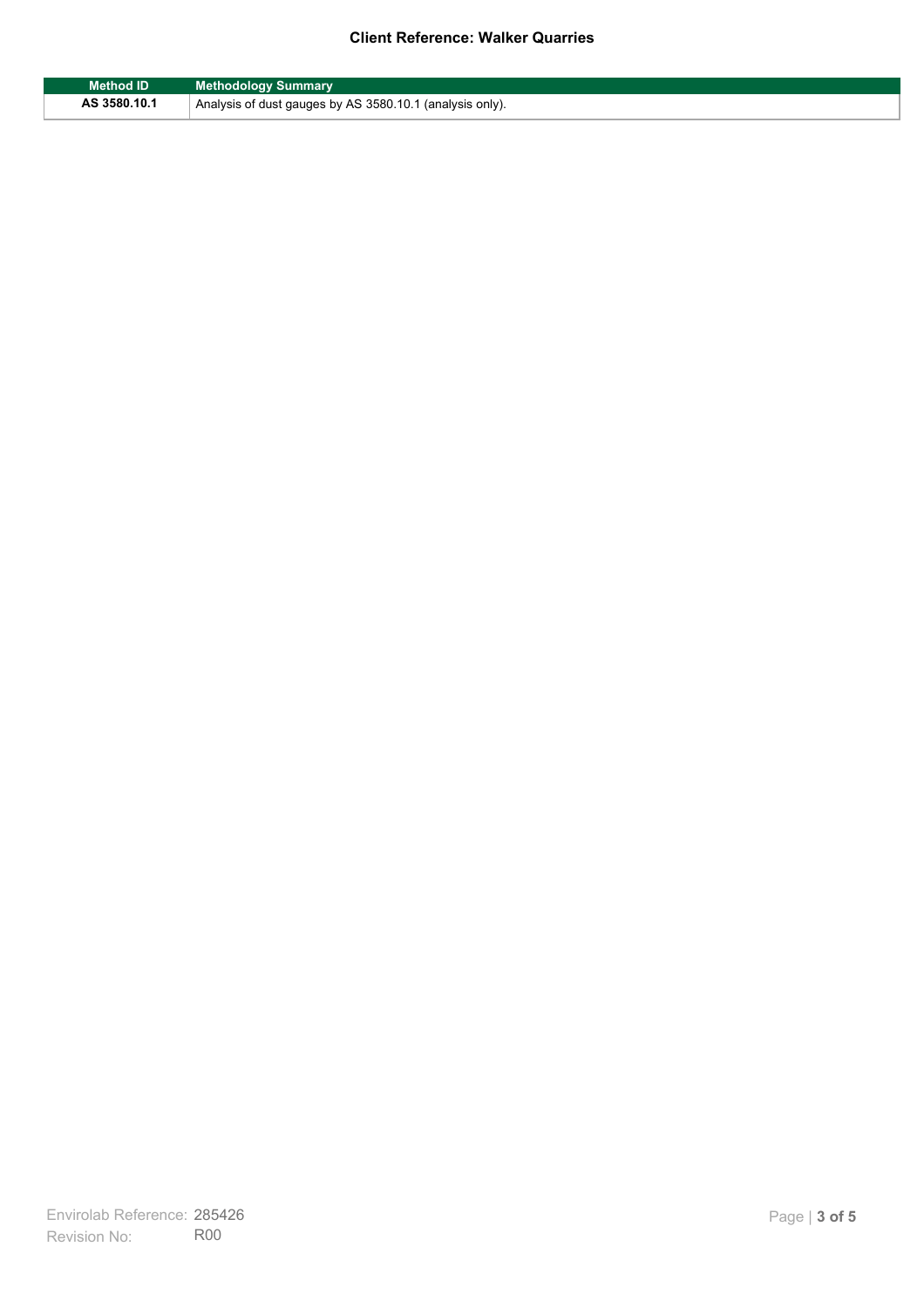| <b>Method ID</b> | <b>Methodology Summary</b>                               |
|------------------|----------------------------------------------------------|
| AS 3580.10.1     | Analysis of dust gauges by AS 3580.10.1 (analysis only). |

F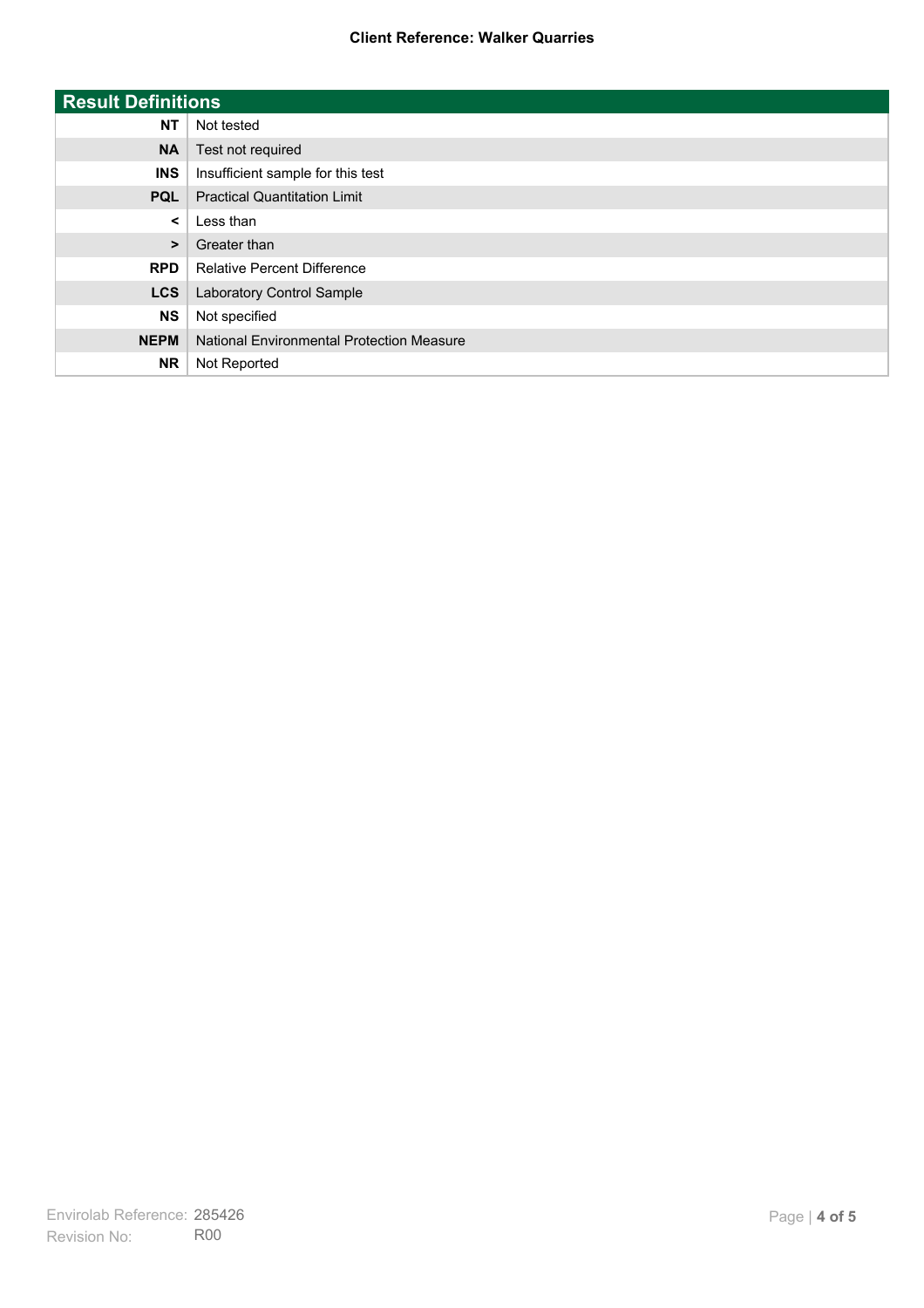| <b>Result Definitions</b> |                                           |
|---------------------------|-------------------------------------------|
| <b>NT</b>                 | Not tested                                |
| <b>NA</b>                 | Test not required                         |
| <b>INS</b>                | Insufficient sample for this test         |
| <b>PQL</b>                | <b>Practical Quantitation Limit</b>       |
| $\prec$                   | Less than                                 |
| $\geq$                    | Greater than                              |
| <b>RPD</b>                | <b>Relative Percent Difference</b>        |
| <b>LCS</b>                | Laboratory Control Sample                 |
| <b>NS</b>                 | Not specified                             |
| <b>NEPM</b>               | National Environmental Protection Measure |
| <b>NR</b>                 | Not Reported                              |